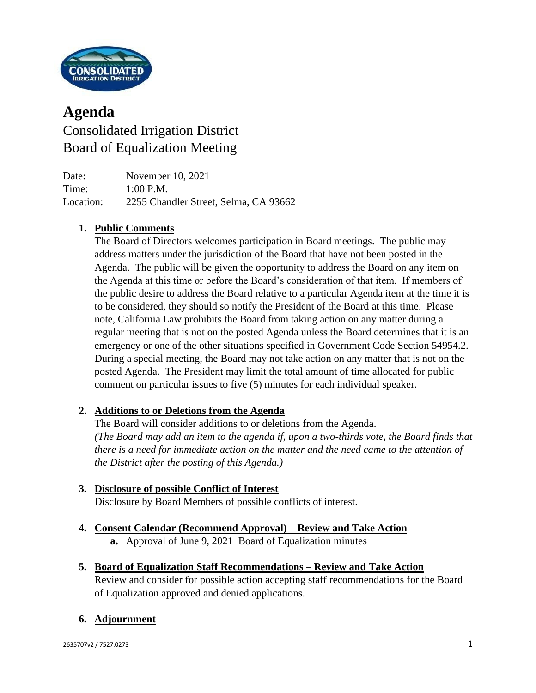

# **Agenda** Consolidated Irrigation District Board of Equalization Meeting

Date: November 10, 2021 Time: 1:00 P.M. Location: 2255 Chandler Street, Selma, CA 93662

# **1. Public Comments**

The Board of Directors welcomes participation in Board meetings. The public may address matters under the jurisdiction of the Board that have not been posted in the Agenda. The public will be given the opportunity to address the Board on any item on the Agenda at this time or before the Board's consideration of that item. If members of the public desire to address the Board relative to a particular Agenda item at the time it is to be considered, they should so notify the President of the Board at this time. Please note, California Law prohibits the Board from taking action on any matter during a regular meeting that is not on the posted Agenda unless the Board determines that it is an emergency or one of the other situations specified in Government Code Section 54954.2. During a special meeting, the Board may not take action on any matter that is not on the posted Agenda. The President may limit the total amount of time allocated for public comment on particular issues to five (5) minutes for each individual speaker.

### **2. Additions to or Deletions from the Agenda**

The Board will consider additions to or deletions from the Agenda. *(The Board may add an item to the agenda if, upon a two-thirds vote, the Board finds that there is a need for immediate action on the matter and the need came to the attention of the District after the posting of this Agenda.)*

## **3. Disclosure of possible Conflict of Interest**

Disclosure by Board Members of possible conflicts of interest.

- **4. Consent Calendar (Recommend Approval) – Review and Take Action a.** Approval of June 9, 2021 Board of Equalization minutes
- **5. Board of Equalization Staff Recommendations – Review and Take Action**

Review and consider for possible action accepting staff recommendations for the Board of Equalization approved and denied applications.

### **6. Adjournment**